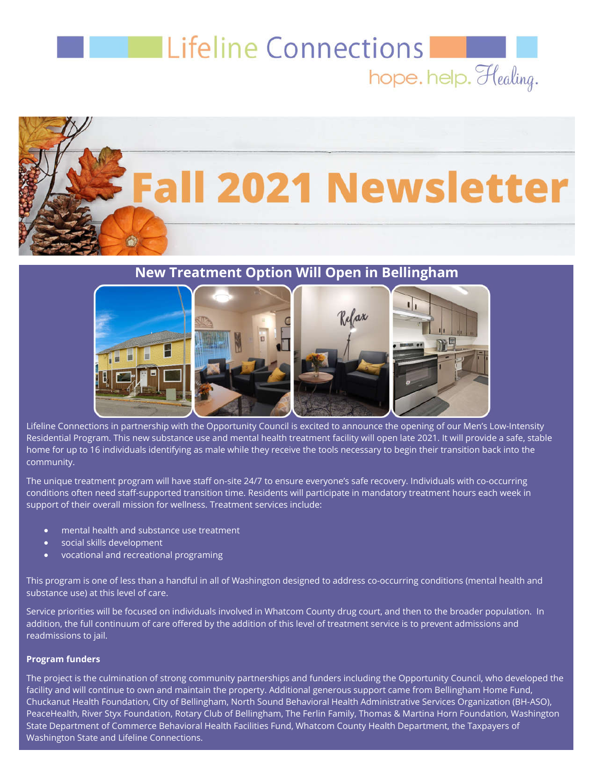### **Example 12 Lifeline Connections** hope. help. Healing.



#### **New Treatment Option Will Open in Bellingham**



Lifeline Connections in partnership with the Opportunity Council is excited to announce the opening of our Men's Low-Intensity Residential Program. This new substance use and mental health treatment facility will open late 2021. It will provide a safe, stable home for up to 16 individuals identifying as male while they receive the tools necessary to begin their transition back into the community.

The unique treatment program will have staff on-site 24/7 to ensure everyone's safe recovery. Individuals with co-occurring conditions often need staff-supported transition time. Residents will participate in mandatory treatment hours each week in support of their overall mission for wellness. Treatment services include:

- mental health and substance use treatment
- social skills development
- vocational and recreational programing

This program is one of less than a handful in all of Washington designed to address co-occurring conditions (mental health and substance use) at this level of care.

Service priorities will be focused on individuals involved in Whatcom County drug court, and then to the broader population. In addition, the full continuum of care offered by the addition of this level of treatment service is to prevent admissions and readmissions to jail.

#### **Program funders**

The project is the culmination of strong community partnerships and funders including the Opportunity Council, who developed the facility and will continue to own and maintain the property. Additional generous support came from Bellingham Home Fund, Chuckanut Health Foundation, City of Bellingham, North Sound Behavioral Health Administrative Services Organization (BH-ASO), PeaceHealth, River Styx Foundation, Rotary Club of Bellingham, The Ferlin Family, Thomas & Martina Horn Foundation, Washington State Department of Commerce Behavioral Health Facilities Fund, Whatcom County Health Department, the Taxpayers of Washington State and Lifeline Connections.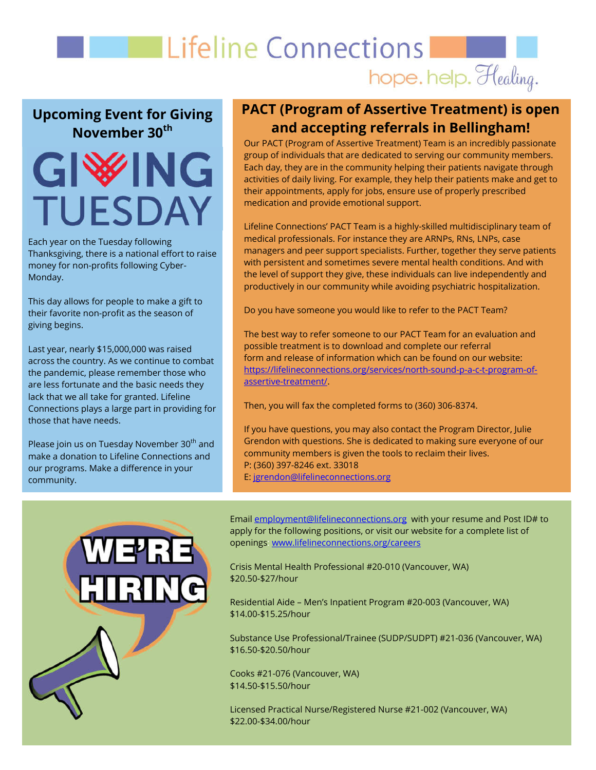# **Example 1 Exercise Connections**

hope. help. Healing.

**Upcoming Event for Giving November 30th**

GIWHIG **TUESDAY** 

Each year on the Tuesday following Thanksgiving, there is a national effort to raise money for non-profits following Cyber-Monday.

This day allows for people to make a gift to their favorite non-profit as the season of giving begins.

Last year, nearly \$15,000,000 was raised across the country. As we continue to combat the pandemic, please remember those who are less fortunate and the basic needs they lack that we all take for granted. Lifeline Connections plays a large part in providing for those that have needs.

Please join us on Tuesday November 30<sup>th</sup> and make a donation to Lifeline Connections and our programs. Make a difference in your community.

#### **PACT (Program of Assertive Treatment) is open and accepting referrals in Bellingham!**

Our PACT (Program of Assertive Treatment) Team is an incredibly passionate group of individuals that are dedicated to serving our community members. Each day, they are in the community helping their patients navigate through activities of daily living. For example, they help their patients make and get to their appointments, apply for jobs, ensure use of properly prescribed medication and provide emotional support.

Lifeline Connections' PACT Team is a highly-skilled multidisciplinary team of medical professionals. For instance they are ARNPs, RNs, LNPs, case managers and peer support specialists. Further, together they serve patients with persistent and sometimes severe mental health conditions. And with the level of support they give, these individuals can live independently and productively in our community while avoiding psychiatric hospitalization.

Do you have someone you would like to refer to the PACT Team?

The best way to refer someone to our PACT Team for an evaluation and possible treatment is to download and complete our referral form and release of information which can be found on our website: [https://lifelineconnections.org/services/north-sound-p-a-c-t-program-of](https://lifelineconnections.org/services/north-sound-p-a-c-t-program-of-assertive-treatment/)assertive-treatment/.

Then, you will fax the completed forms to (360) 306-8374.

If you have questions, you may also contact the Program Director, Julie Grendon with questions. She is dedicated to making sure everyone of our community members is given the tools to reclaim their lives. P: (360) 397-8246 ext. 33018 E: [jgrendon@lifelineconnections.org](mailto:jgrendon@lifelineconnections.org) 

Email [employment@lifelineconnections.org](mailto:employment@lifelineconnections.org) with your resume and Post ID# to apply for the following positions, or visit our website for a complete list of openings: [www.lifelineconnections.org/careers](http://www.lifelineconnections.org/careers)

Crisis Mental Health Professional #20-010 (Vancouver, WA) \$20.50-\$27/hour

Residential Aide – Men's Inpatient Program #20-003 (Vancouver, WA) \$14.00-\$15.25/hour

Substance Use Professional/Trainee (SUDP/SUDPT) #21-036 (Vancouver, WA) \$16.50-\$20.50/hour

Cooks #21-076 (Vancouver, WA) \$14.50-\$15.50/hour

Licensed Practical Nurse/Registered Nurse #21-002 (Vancouver, WA) \$22.00-\$34.00/hour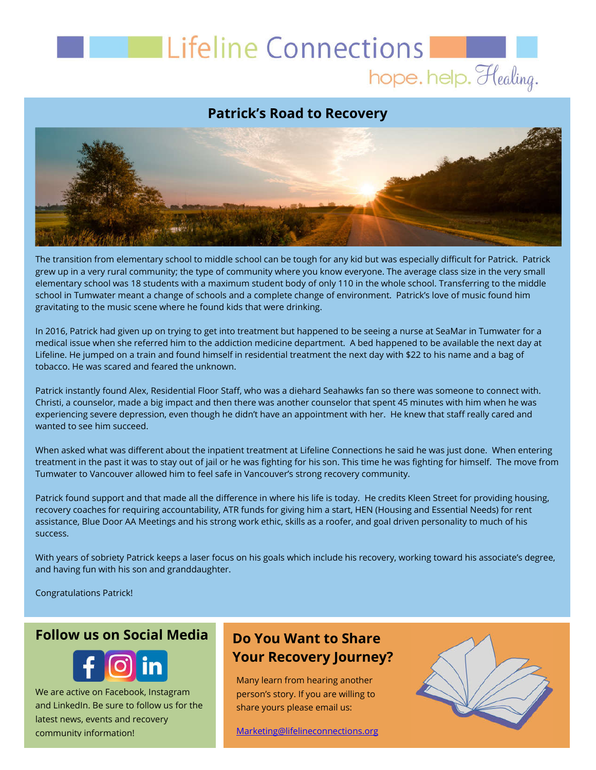## **Example 1 Exercise** Connections hope. help. Healing.

#### **Patrick's Road to Recovery**



The transition from elementary school to middle school can be tough for any kid but was especially difficult for Patrick. Patrick grew up in a very rural community; the type of community where you know everyone. The average class size in the very small elementary school was 18 students with a maximum student body of only 110 in the whole school. Transferring to the middle school in Tumwater meant a change of schools and a complete change of environment. Patrick's love of music found him gravitating to the music scene where he found kids that were drinking.

In 2016, Patrick had given up on trying to get into treatment but happened to be seeing a nurse at SeaMar in Tumwater for a medical issue when she referred him to the addiction medicine department. A bed happened to be available the next day at Lifeline. He jumped on a train and found himself in residential treatment the next day with \$22 to his name and a bag of tobacco. He was scared and feared the unknown.

Patrick instantly found Alex, Residential Floor Staff, who was a diehard Seahawks fan so there was someone to connect with. Christi, a counselor, made a big impact and then there was another counselor that spent 45 minutes with him when he was experiencing severe depression, even though he didn't have an appointment with her. He knew that staff really cared and wanted to see him succeed.

When asked what was different about the inpatient treatment at Lifeline Connections he said he was just done. When entering treatment in the past it was to stay out of jail or he was fighting for his son. This time he was fighting for himself. The move from Tumwater to Vancouver allowed him to feel safe in Vancouver's strong recovery community.

Patrick found support and that made all the difference in where his life is today. He credits Kleen Street for providing housing, recovery coaches for requiring accountability, ATR funds for giving him a start, HEN (Housing and Essential Needs) for rent assistance, Blue Door AA Meetings and his strong work ethic, skills as a roofer, and goal driven personality to much of his success.

With years of sobriety Patrick keeps a laser focus on his goals which include his recovery, working toward his associate's degree, and having fun with his son and granddaughter.

Congratulations Patrick!

#### **Follow us on Social Media Do You Want to Share**



We are active on Facebook, Instagram and LinkedIn. Be sure to follow us for the latest news, events and recovery community information!

## **Your Recovery Journey?**

Many learn from hearing another person's story. If you are willing to share yours please email us:

[Marketing@lifelineconnections.org](mailto:marketing@lifelineconnections.org)